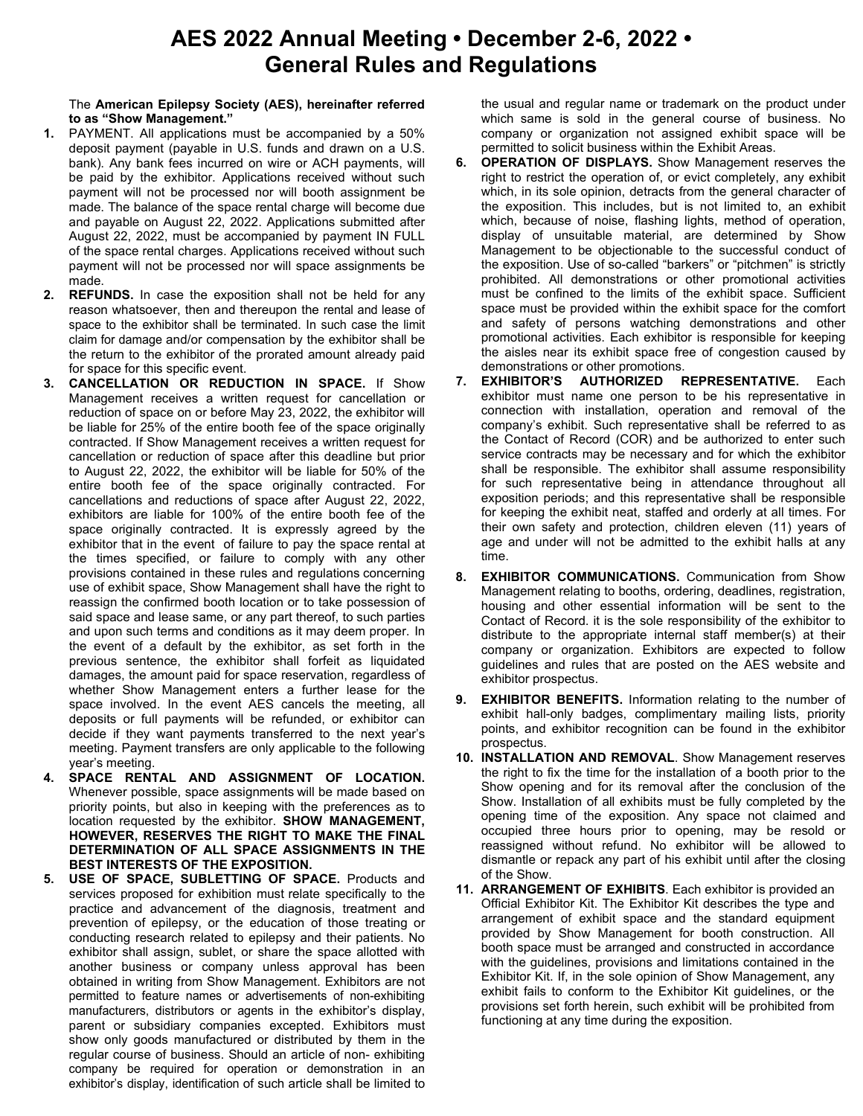## **AES 2022 Annual Meeting • December 2-6, 2022 • General Rules and Regulations**

The **American Epilepsy Society (AES), hereinafter referred to as "Show Management."**

- **1.** PAYMENT. All applications must be accompanied by a 50% deposit payment (payable in U.S. funds and drawn on a U.S. bank). Any bank fees incurred on wire or ACH payments, will be paid by the exhibitor. Applications received without such payment will not be processed nor will booth assignment be made. The balance of the space rental charge will become due and payable on August 22, 2022. Applications submitted after August 22, 2022, must be accompanied by payment IN FULL of the space rental charges. Applications received without such payment will not be processed nor will space assignments be made.
- **2. REFUNDS.** In case the exposition shall not be held for any reason whatsoever, then and thereupon the rental and lease of space to the exhibitor shall be terminated. In such case the limit claim for damage and/or compensation by the exhibitor shall be the return to the exhibitor of the prorated amount already paid for space for this specific event.
- **3. CANCELLATION OR REDUCTION IN SPACE.** If Show Management receives a written request for cancellation or reduction of space on or before May 23, 2022, the exhibitor will be liable for 25% of the entire booth fee of the space originally contracted. If Show Management receives a written request for cancellation or reduction of space after this deadline but prior to August 22, 2022, the exhibitor will be liable for 50% of the entire booth fee of the space originally contracted. For cancellations and reductions of space after August 22, 2022, exhibitors are liable for 100% of the entire booth fee of the space originally contracted. It is expressly agreed by the exhibitor that in the event of failure to pay the space rental at the times specified, or failure to comply with any other provisions contained in these rules and regulations concerning use of exhibit space, Show Management shall have the right to reassign the confirmed booth location or to take possession of said space and lease same, or any part thereof, to such parties and upon such terms and conditions as it may deem proper. In the event of a default by the exhibitor, as set forth in the previous sentence, the exhibitor shall forfeit as liquidated damages, the amount paid for space reservation, regardless of whether Show Management enters a further lease for the space involved. In the event AES cancels the meeting, all deposits or full payments will be refunded, or exhibitor can decide if they want payments transferred to the next year's meeting. Payment transfers are only applicable to the following year's meeting.
- **4. SPACE RENTAL AND ASSIGNMENT OF LOCATION.**  Whenever possible, space assignments will be made based on priority points, but also in keeping with the preferences as to location requested by the exhibitor. **SHOW MANAGEMENT, HOWEVER, RESERVES THE RIGHT TO MAKE THE FINAL DETERMINATION OF ALL SPACE ASSIGNMENTS IN THE BEST INTERESTS OF THE EXPOSITION.**
- **5. USE OF SPACE, SUBLETTING OF SPACE.** Products and services proposed for exhibition must relate specifically to the practice and advancement of the diagnosis, treatment and prevention of epilepsy, or the education of those treating or conducting research related to epilepsy and their patients. No exhibitor shall assign, sublet, or share the space allotted with another business or company unless approval has been obtained in writing from Show Management. Exhibitors are not permitted to feature names or advertisements of non-exhibiting manufacturers, distributors or agents in the exhibitor's display, parent or subsidiary companies excepted. Exhibitors must show only goods manufactured or distributed by them in the regular course of business. Should an article of non- exhibiting company be required for operation or demonstration in an exhibitor's display, identification of such article shall be limited to

the usual and regular name or trademark on the product under which same is sold in the general course of business. No company or organization not assigned exhibit space will be permitted to solicit business within the Exhibit Areas.

- **6. OPERATION OF DISPLAYS.** Show Management reserves the right to restrict the operation of, or evict completely, any exhibit which, in its sole opinion, detracts from the general character of the exposition. This includes, but is not limited to, an exhibit which, because of noise, flashing lights, method of operation, display of unsuitable material, are determined by Show Management to be objectionable to the successful conduct of the exposition. Use of so-called "barkers" or "pitchmen" is strictly prohibited. All demonstrations or other promotional activities must be confined to the limits of the exhibit space. Sufficient space must be provided within the exhibit space for the comfort and safety of persons watching demonstrations and other promotional activities. Each exhibitor is responsible for keeping the aisles near its exhibit space free of congestion caused by demonstrations or other promotions.
- **7. EXHIBITOR'S AUTHORIZED REPRESENTATIVE.** Each exhibitor must name one person to be his representative in connection with installation, operation and removal of the company's exhibit. Such representative shall be referred to as the Contact of Record (COR) and be authorized to enter such service contracts may be necessary and for which the exhibitor shall be responsible. The exhibitor shall assume responsibility for such representative being in attendance throughout all exposition periods; and this representative shall be responsible for keeping the exhibit neat, staffed and orderly at all times. For their own safety and protection, children eleven (11) years of age and under will not be admitted to the exhibit halls at any time.
- **8. EXHIBITOR COMMUNICATIONS.** Communication from Show Management relating to booths, ordering, deadlines, registration, housing and other essential information will be sent to the Contact of Record. it is the sole responsibility of the exhibitor to distribute to the appropriate internal staff member(s) at their company or organization. Exhibitors are expected to follow guidelines and rules that are posted on the AES website and exhibitor prospectus.
- **9. EXHIBITOR BENEFITS.** Information relating to the number of exhibit hall-only badges, complimentary mailing lists, priority points, and exhibitor recognition can be found in the exhibitor prospectus.
- **10. INSTALLATION AND REMOVAL**. Show Management reserves the right to fix the time for the installation of a booth prior to the Show opening and for its removal after the conclusion of the Show. Installation of all exhibits must be fully completed by the opening time of the exposition. Any space not claimed and occupied three hours prior to opening, may be resold or reassigned without refund. No exhibitor will be allowed to dismantle or repack any part of his exhibit until after the closing of the Show.
- **11. ARRANGEMENT OF EXHIBITS**. Each exhibitor is provided an Official Exhibitor Kit. The Exhibitor Kit describes the type and arrangement of exhibit space and the standard equipment provided by Show Management for booth construction. All booth space must be arranged and constructed in accordance with the guidelines, provisions and limitations contained in the Exhibitor Kit. If, in the sole opinion of Show Management, any exhibit fails to conform to the Exhibitor Kit guidelines, or the provisions set forth herein, such exhibit will be prohibited from functioning at any time during the exposition.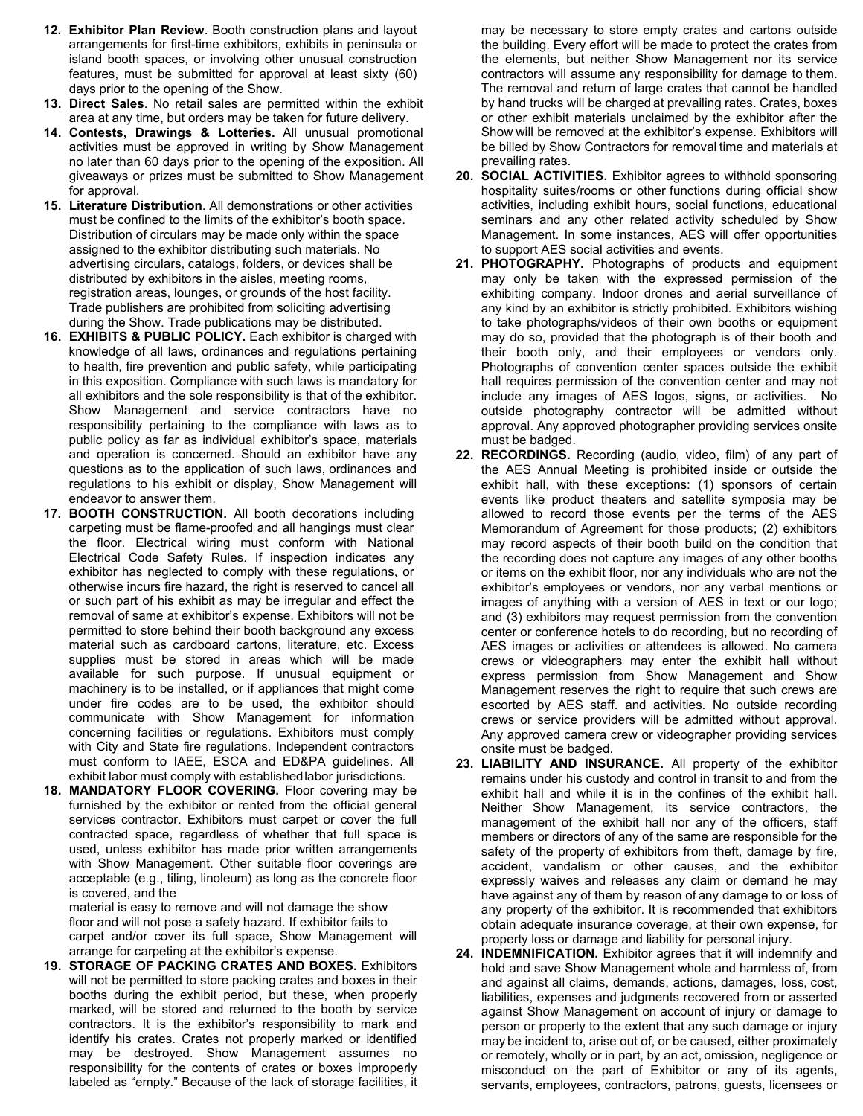- **12. Exhibitor Plan Review**. Booth construction plans and layout arrangements for first-time exhibitors, exhibits in peninsula or island booth spaces, or involving other unusual construction features, must be submitted for approval at least sixty (60) days prior to the opening of the Show.
- **13. Direct Sales**. No retail sales are permitted within the exhibit area at any time, but orders may be taken for future delivery.
- **14. Contests, Drawings & Lotteries.** All unusual promotional activities must be approved in writing by Show Management no later than 60 days prior to the opening of the exposition. All giveaways or prizes must be submitted to Show Management for approval.
- **15. Literature Distribution**. All demonstrations or other activities must be confined to the limits of the exhibitor's booth space. Distribution of circulars may be made only within the space assigned to the exhibitor distributing such materials. No advertising circulars, catalogs, folders, or devices shall be distributed by exhibitors in the aisles, meeting rooms, registration areas, lounges, or grounds of the host facility. Trade publishers are prohibited from soliciting advertising during the Show. Trade publications may be distributed.
- **16. EXHIBITS & PUBLIC POLICY.** Each exhibitor is charged with knowledge of all laws, ordinances and regulations pertaining to health, fire prevention and public safety, while participating in this exposition. Compliance with such laws is mandatory for all exhibitors and the sole responsibility is that of the exhibitor. Show Management and service contractors have no responsibility pertaining to the compliance with laws as to public policy as far as individual exhibitor's space, materials and operation is concerned. Should an exhibitor have any questions as to the application of such laws, ordinances and regulations to his exhibit or display, Show Management will endeavor to answer them.
- **17. BOOTH CONSTRUCTION.** All booth decorations including carpeting must be flame-proofed and all hangings must clear the floor. Electrical wiring must conform with National Electrical Code Safety Rules. If inspection indicates any exhibitor has neglected to comply with these regulations, or otherwise incurs fire hazard, the right is reserved to cancel all or such part of his exhibit as may be irregular and effect the removal of same at exhibitor's expense. Exhibitors will not be permitted to store behind their booth background any excess material such as cardboard cartons, literature, etc. Excess supplies must be stored in areas which will be made available for such purpose. If unusual equipment or machinery is to be installed, or if appliances that might come under fire codes are to be used, the exhibitor should communicate with Show Management for information concerning facilities or regulations. Exhibitors must comply with City and State fire regulations. Independent contractors must conform to IAEE, ESCA and ED&PA guidelines. All exhibit labor must comply with establishedlabor jurisdictions.
- **18. MANDATORY FLOOR COVERING.** Floor covering may be furnished by the exhibitor or rented from the official general services contractor. Exhibitors must carpet or cover the full contracted space, regardless of whether that full space is used, unless exhibitor has made prior written arrangements with Show Management. Other suitable floor coverings are acceptable (e.g., tiling, linoleum) as long as the concrete floor is covered, and the

material is easy to remove and will not damage the show floor and will not pose a safety hazard. If exhibitor fails to carpet and/or cover its full space, Show Management will arrange for carpeting at the exhibitor's expense.

**19. STORAGE OF PACKING CRATES AND BOXES.** Exhibitors will not be permitted to store packing crates and boxes in their booths during the exhibit period, but these, when properly marked, will be stored and returned to the booth by service contractors. It is the exhibitor's responsibility to mark and identify his crates. Crates not properly marked or identified may be destroyed. Show Management assumes no responsibility for the contents of crates or boxes improperly labeled as "empty." Because of the lack of storage facilities, it

may be necessary to store empty crates and cartons outside the building. Every effort will be made to protect the crates from the elements, but neither Show Management nor its service contractors will assume any responsibility for damage to them. The removal and return of large crates that cannot be handled by hand trucks will be charged at prevailing rates. Crates, boxes or other exhibit materials unclaimed by the exhibitor after the Show will be removed at the exhibitor's expense. Exhibitors will be billed by Show Contractors for removal time and materials at prevailing rates.

- **20. SOCIAL ACTIVITIES.** Exhibitor agrees to withhold sponsoring hospitality suites/rooms or other functions during official show activities, including exhibit hours, social functions, educational seminars and any other related activity scheduled by Show Management. In some instances, AES will offer opportunities to support AES social activities and events.
- **21. PHOTOGRAPHY.** Photographs of products and equipment may only be taken with the expressed permission of the exhibiting company. Indoor drones and aerial surveillance of any kind by an exhibitor is strictly prohibited. Exhibitors wishing to take photographs/videos of their own booths or equipment may do so, provided that the photograph is of their booth and their booth only, and their employees or vendors only. Photographs of convention center spaces outside the exhibit hall requires permission of the convention center and may not include any images of AES logos, signs, or activities. No outside photography contractor will be admitted without approval. Any approved photographer providing services onsite must be badged.
- **22. RECORDINGS.** Recording (audio, video, film) of any part of the AES Annual Meeting is prohibited inside or outside the exhibit hall, with these exceptions: (1) sponsors of certain events like product theaters and satellite symposia may be allowed to record those events per the terms of the AES Memorandum of Agreement for those products; (2) exhibitors may record aspects of their booth build on the condition that the recording does not capture any images of any other booths or items on the exhibit floor, nor any individuals who are not the exhibitor's employees or vendors, nor any verbal mentions or images of anything with a version of AES in text or our logo; and (3) exhibitors may request permission from the convention center or conference hotels to do recording, but no recording of AES images or activities or attendees is allowed. No camera crews or videographers may enter the exhibit hall without express permission from Show Management and Show Management reserves the right to require that such crews are escorted by AES staff. and activities. No outside recording crews or service providers will be admitted without approval. Any approved camera crew or videographer providing services onsite must be badged.
- **23. LIABILITY AND INSURANCE.** All property of the exhibitor remains under his custody and control in transit to and from the exhibit hall and while it is in the confines of the exhibit hall. Neither Show Management, its service contractors, the management of the exhibit hall nor any of the officers, staff members or directors of any of the same are responsible for the safety of the property of exhibitors from theft, damage by fire, accident, vandalism or other causes, and the exhibitor expressly waives and releases any claim or demand he may have against any of them by reason of any damage to or loss of any property of the exhibitor. It is recommended that exhibitors obtain adequate insurance coverage, at their own expense, for property loss or damage and liability for personal injury.
- **24. INDEMNIFICATION.** Exhibitor agrees that it will indemnify and hold and save Show Management whole and harmless of, from and against all claims, demands, actions, damages, loss, cost, liabilities, expenses and judgments recovered from or asserted against Show Management on account of injury or damage to person or property to the extent that any such damage or injury may be incident to, arise out of, or be caused, either proximately or remotely, wholly or in part, by an act, omission, negligence or misconduct on the part of Exhibitor or any of its agents, servants, employees, contractors, patrons, guests, licensees or